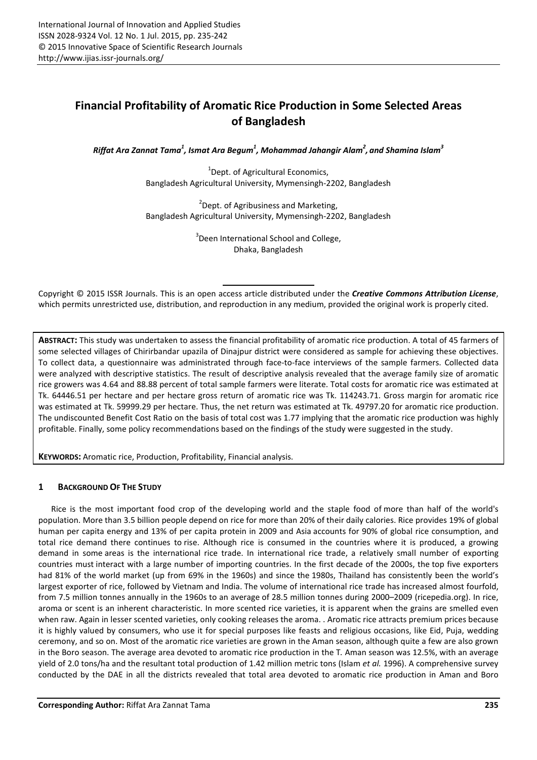# Financial Profitability of Aromatic Rice Production in Some Selected Areas of Bangladesh

*Riffat Ara Zannat Tama<sup>1</sup> , Ismat Ara Begum<sup>1</sup> , Mohammad Jahangir Alam<sup>2</sup> , and Shamina Islam<sup>3</sup>*

<sup>1</sup>Dept. of Agricultural Economics, Bangladesh Agricultural University, Mymensingh-2202, Bangladesh

<sup>2</sup> Dept. of Agribusiness and Marketing, Bangladesh Agricultural University, Mymensingh-2202, Bangladesh

> <sup>3</sup> Deen International School and College, Dhaka, Bangladesh

Copyright © 2015 ISSR Journals. This is an open access article distributed under the *Creative Commons Attribution License*, which permits unrestricted use, distribution, and reproduction in any medium, provided the original work is properly cited.

ABSTRACT: This study was undertaken to assess the financial profitability of aromatic rice production. A total of 45 farmers of some selected villages of Chirirbandar upazila of Dinajpur district were considered as sample for achieving these objectives. To collect data, a questionnaire was administrated through face-to-face interviews of the sample farmers. Collected data were analyzed with descriptive statistics. The result of descriptive analysis revealed that the average family size of aromatic rice growers was 4.64 and 88.88 percent of total sample farmers were literate. Total costs for aromatic rice was estimated at Tk. 64446.51 per hectare and per hectare gross return of aromatic rice was Tk. 114243.71. Gross margin for aromatic rice was estimated at Tk. 59999.29 per hectare. Thus, the net return was estimated at Tk. 49797.20 for aromatic rice production. The undiscounted Benefit Cost Ratio on the basis of total cost was 1.77 implying that the aromatic rice production was highly profitable. Finally, some policy recommendations based on the findings of the study were suggested in the study.

KEYWORDS: Aromatic rice, Production, Profitability, Financial analysis.

# 1 BACKGROUND OF THE STUDY

Rice is the most important food crop of the developing world and the staple food of more than half of the world's population. More than 3.5 billion people depend on rice for more than 20% of their daily calories. Rice provides 19% of global human per capita energy and 13% of per capita protein in 2009 and Asia accounts for 90% of global rice consumption, and total rice demand there continues to rise. Although rice is consumed in the countries where it is produced, a growing demand in some areas is the international rice trade. In international rice trade, a relatively small number of exporting countries must interact with a large number of importing countries. In the first decade of the 2000s, the top five exporters had 81% of the world market (up from 69% in the 1960s) and since the 1980s, Thailand has consistently been the world's largest exporter of rice, followed by Vietnam and India. The volume of international rice trade has increased almost fourfold, from 7.5 million tonnes annually in the 1960s to an average of 28.5 million tonnes during 2000–2009 (ricepedia.org). In rice, aroma or scent is an inherent characteristic. In more scented rice varieties, it is apparent when the grains are smelled even when raw. Again in lesser scented varieties, only cooking releases the aroma. . Aromatic rice attracts premium prices because it is highly valued by consumers, who use it for special purposes like feasts and religious occasions, like Eid, Puja, wedding ceremony, and so on. Most of the aromatic rice varieties are grown in the Aman season, although quite a few are also grown in the Boro season. The average area devoted to aromatic rice production in the T*.* Aman season was 12.5%, with an average yield of 2.0 tons/ha and the resultant total production of 1.42 million metric tons (Islam *et al.* 1996). A comprehensive survey conducted by the DAE in all the districts revealed that total area devoted to aromatic rice production in Aman and Boro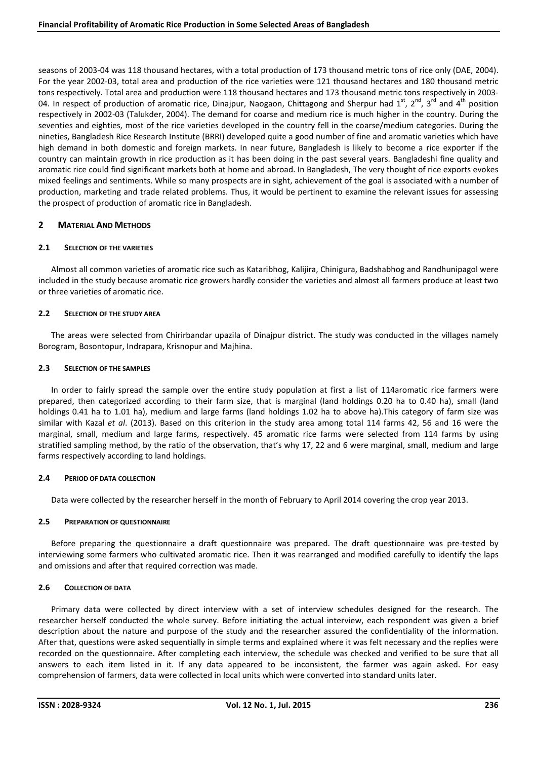seasons of 2003-04 was 118 thousand hectares, with a total production of 173 thousand metric tons of rice only (DAE, 2004). For the year 2002-03, total area and production of the rice varieties were 121 thousand hectares and 180 thousand metric tons respectively. Total area and production were 118 thousand hectares and 173 thousand metric tons respectively in 2003- 04. In respect of production of aromatic rice, Dinajpur, Naogaon, Chittagong and Sherpur had  $1^{st}$ ,  $2^{nd}$ ,  $3^{rd}$  and  $4^{th}$  position respectively in 2002-03 (Talukder, 2004). The demand for coarse and medium rice is much higher in the country. During the seventies and eighties, most of the rice varieties developed in the country fell in the coarse/medium categories. During the nineties, Bangladesh Rice Research Institute (BRRI) developed quite a good number of fine and aromatic varieties which have high demand in both domestic and foreign markets. In near future, Bangladesh is likely to become a rice exporter if the country can maintain growth in rice production as it has been doing in the past several years. Bangladeshi fine quality and aromatic rice could find significant markets both at home and abroad. In Bangladesh, The very thought of rice exports evokes mixed feelings and sentiments. While so many prospects are in sight, achievement of the goal is associated with a number of production, marketing and trade related problems. Thus, it would be pertinent to examine the relevant issues for assessing the prospect of production of aromatic rice in Bangladesh.

# 2 MATERIAL AND METHODS

# 2.1 SELECTION OF THE VARIETIES

Almost all common varieties of aromatic rice such as Kataribhog, Kalijira, Chinigura, Badshabhog and Randhunipagol were included in the study because aromatic rice growers hardly consider the varieties and almost all farmers produce at least two or three varieties of aromatic rice.

# 2.2 SELECTION OF THE STUDY AREA

The areas were selected from Chirirbandar upazila of Dinajpur district. The study was conducted in the villages namely Borogram, Bosontopur, Indrapara, Krisnopur and Majhina.

## 2.3 SELECTION OF THE SAMPLES

In order to fairly spread the sample over the entire study population at first a list of 114aromatic rice farmers were prepared, then categorized according to their farm size, that is marginal (land holdings 0.20 ha to 0.40 ha), small (land holdings 0.41 ha to 1.01 ha), medium and large farms (land holdings 1.02 ha to above ha).This category of farm size was similar with Kazal *et al*. (2013). Based on this criterion in the study area among total 114 farms 42, 56 and 16 were the marginal, small, medium and large farms, respectively. 45 aromatic rice farms were selected from 114 farms by using stratified sampling method, by the ratio of the observation, that's why 17, 22 and 6 were marginal, small, medium and large farms respectively according to land holdings.

#### 2.4 PERIOD OF DATA COLLECTION

Data were collected by the researcher herself in the month of February to April 2014 covering the crop year 2013.

# 2.5 PREPARATION OF QUESTIONNAIRE

Before preparing the questionnaire a draft questionnaire was prepared. The draft questionnaire was pre-tested by interviewing some farmers who cultivated aromatic rice. Then it was rearranged and modified carefully to identify the laps and omissions and after that required correction was made.

# 2.6 COLLECTION OF DATA

Primary data were collected by direct interview with a set of interview schedules designed for the research. The researcher herself conducted the whole survey. Before initiating the actual interview, each respondent was given a brief description about the nature and purpose of the study and the researcher assured the confidentiality of the information. After that, questions were asked sequentially in simple terms and explained where it was felt necessary and the replies were recorded on the questionnaire. After completing each interview, the schedule was checked and verified to be sure that all answers to each item listed in it. If any data appeared to be inconsistent, the farmer was again asked. For easy comprehension of farmers, data were collected in local units which were converted into standard units later.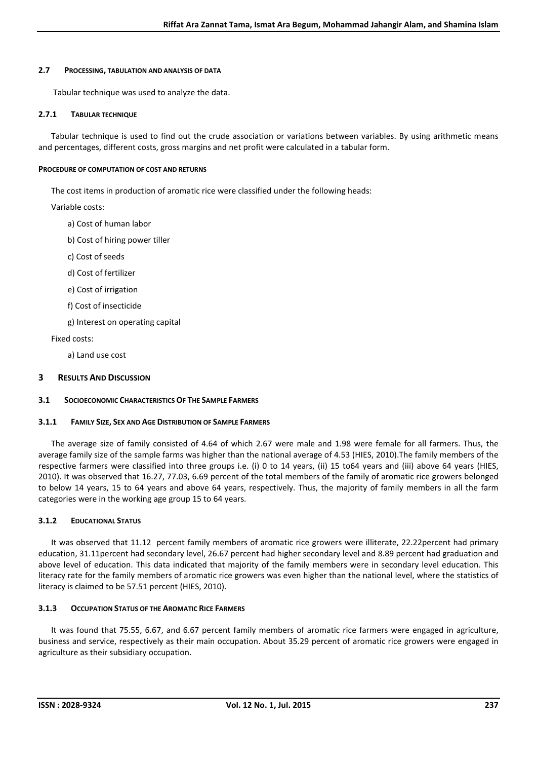## 2.7 PROCESSING, TABULATION AND ANALYSIS OF DATA

Tabular technique was used to analyze the data.

## 2.7.1 TABULAR TECHNIQUE

Tabular technique is used to find out the crude association or variations between variables. By using arithmetic means and percentages, different costs, gross margins and net profit were calculated in a tabular form.

## PROCEDURE OF COMPUTATION OF COST AND RETURNS

The cost items in production of aromatic rice were classified under the following heads:

Variable costs:

- a) Cost of human labor
- b) Cost of hiring power tiller
- c) Cost of seeds
- d) Cost of fertilizer
- e) Cost of irrigation
- f) Cost of insecticide
- g) Interest on operating capital

Fixed costs:

a) Land use cost

## 3 RESULTS AND DISCUSSION

#### 3.1 SOCIOECONOMIC CHARACTERISTICS OF THE SAMPLE FARMERS

#### 3.1.1 FAMILY SIZE, SEX AND AGE DISTRIBUTION OF SAMPLE FARMERS

The average size of family consisted of 4.64 of which 2.67 were male and 1.98 were female for all farmers. Thus, the average family size of the sample farms was higher than the national average of 4.53 (HIES, 2010).The family members of the respective farmers were classified into three groups i.e. (i) 0 to 14 years, (ii) 15 to64 years and (iii) above 64 years (HIES, 2010). It was observed that 16.27, 77.03, 6.69 percent of the total members of the family of aromatic rice growers belonged to below 14 years, 15 to 64 years and above 64 years, respectively. Thus, the majority of family members in all the farm categories were in the working age group 15 to 64 years.

#### 3.1.2 EDUCATIONAL STATUS

It was observed that 11.12 percent family members of aromatic rice growers were illiterate, 22.22percent had primary education, 31.11percent had secondary level, 26.67 percent had higher secondary level and 8.89 percent had graduation and above level of education. This data indicated that majority of the family members were in secondary level education. This literacy rate for the family members of aromatic rice growers was even higher than the national level, where the statistics of literacy is claimed to be 57.51 percent (HIES, 2010).

#### 3.1.3 OCCUPATION STATUS OF THE AROMATIC RICE FARMERS

It was found that 75.55, 6.67, and 6.67 percent family members of aromatic rice farmers were engaged in agriculture, business and service, respectively as their main occupation. About 35.29 percent of aromatic rice growers were engaged in agriculture as their subsidiary occupation.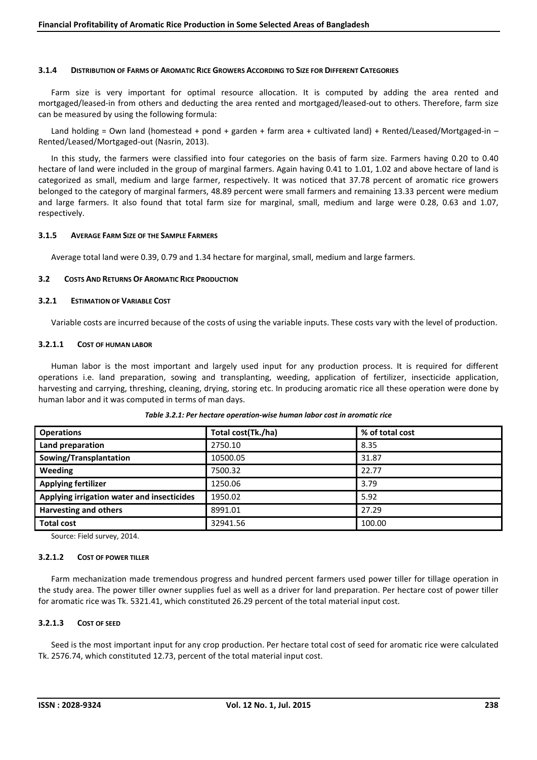## 3.1.4 DISTRIBUTION OF FARMS OF AROMATIC RICE GROWERS ACCORDING TO SIZE FOR DIFFERENT CATEGORIES

Farm size is very important for optimal resource allocation. It is computed by adding the area rented and mortgaged/leased-in from others and deducting the area rented and mortgaged/leased-out to others. Therefore, farm size can be measured by using the following formula:

Land holding = Own land (homestead + pond + garden + farm area + cultivated land) + Rented/Leased/Mortgaged-in – Rented/Leased/Mortgaged-out (Nasrin, 2013).

In this study, the farmers were classified into four categories on the basis of farm size. Farmers having 0.20 to 0.40 hectare of land were included in the group of marginal farmers. Again having 0.41 to 1.01, 1.02 and above hectare of land is categorized as small, medium and large farmer, respectively. It was noticed that 37.78 percent of aromatic rice growers belonged to the category of marginal farmers, 48.89 percent were small farmers and remaining 13.33 percent were medium and large farmers. It also found that total farm size for marginal, small, medium and large were 0.28, 0.63 and 1.07, respectively.

#### 3.1.5 AVERAGE FARM SIZE OF THE SAMPLE FARMERS

Average total land were 0.39, 0.79 and 1.34 hectare for marginal, small, medium and large farmers.

## 3.2 COSTS AND RETURNS OF AROMATIC RICE PRODUCTION

#### 3.2.1 ESTIMATION OF VARIABLE COST

Variable costs are incurred because of the costs of using the variable inputs. These costs vary with the level of production.

#### 3.2.1.1 COST OF HUMAN LABOR

Human labor is the most important and largely used input for any production process. It is required for different operations i.e. land preparation, sowing and transplanting, weeding, application of fertilizer, insecticide application, harvesting and carrying, threshing, cleaning, drying, storing etc. In producing aromatic rice all these operation were done by human labor and it was computed in terms of man days.

| <b>Operations</b>                          | Total cost(Tk./ha) | % of total cost |
|--------------------------------------------|--------------------|-----------------|
| Land preparation                           | 2750.10            | 8.35            |
| Sowing/Transplantation                     | 10500.05           | 31.87           |
| Weeding                                    | 7500.32            | 22.77           |
| <b>Applying fertilizer</b>                 | 1250.06            | 3.79            |
| Applying irrigation water and insecticides | 1950.02            | 5.92            |
| <b>Harvesting and others</b>               | 8991.01            | 27.29           |
| <b>Total cost</b>                          | 32941.56           | 100.00          |

#### *Table 3.2.1: Per hectare operation-wise human labor cost in aromatic rice*

Source: Field survey, 2014.

#### 3.2.1.2 COST OF POWER TILLER

Farm mechanization made tremendous progress and hundred percent farmers used power tiller for tillage operation in the study area. The power tiller owner supplies fuel as well as a driver for land preparation. Per hectare cost of power tiller for aromatic rice was Tk. 5321.41, which constituted 26.29 percent of the total material input cost.

# 3.2.1.3 COST OF SEED

Seed is the most important input for any crop production. Per hectare total cost of seed for aromatic rice were calculated Tk. 2576.74, which constituted 12.73, percent of the total material input cost.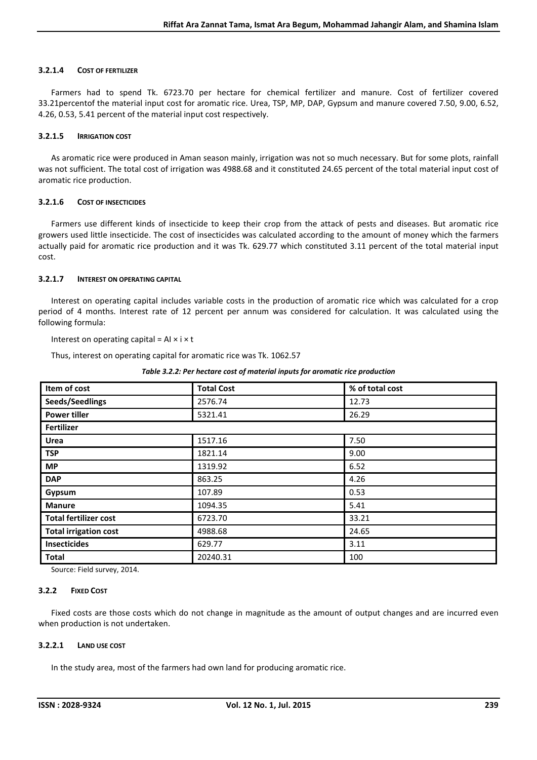## 3.2.1.4 COST OF FERTILIZER

Farmers had to spend Tk. 6723.70 per hectare for chemical fertilizer and manure. Cost of fertilizer covered 33.21percentof the material input cost for aromatic rice. Urea, TSP, MP, DAP, Gypsum and manure covered 7.50, 9.00, 6.52, 4.26, 0.53, 5.41 percent of the material input cost respectively.

## 3.2.1.5 IRRIGATION COST

As aromatic rice were produced in Aman season mainly, irrigation was not so much necessary. But for some plots, rainfall was not sufficient. The total cost of irrigation was 4988.68 and it constituted 24.65 percent of the total material input cost of aromatic rice production.

## 3.2.1.6 COST OF INSECTICIDES

Farmers use different kinds of insecticide to keep their crop from the attack of pests and diseases. But aromatic rice growers used little insecticide. The cost of insecticides was calculated according to the amount of money which the farmers actually paid for aromatic rice production and it was Tk. 629.77 which constituted 3.11 percent of the total material input cost.

## 3.2.1.7 INTEREST ON OPERATING CAPITAL

Interest on operating capital includes variable costs in the production of aromatic rice which was calculated for a crop period of 4 months. Interest rate of 12 percent per annum was considered for calculation. It was calculated using the following formula:

Interest on operating capital =  $AI \times I \times t$ 

Thus, interest on operating capital for aromatic rice was Tk. 1062.57

| Item of cost                 | <b>Total Cost</b> | % of total cost |  |  |  |
|------------------------------|-------------------|-----------------|--|--|--|
|                              |                   |                 |  |  |  |
| Seeds/Seedlings              | 2576.74           | 12.73           |  |  |  |
| <b>Power tiller</b>          | 5321.41           | 26.29           |  |  |  |
| Fertilizer                   |                   |                 |  |  |  |
| Urea                         | 1517.16           | 7.50            |  |  |  |
| <b>TSP</b>                   | 1821.14           | 9.00            |  |  |  |
| <b>MP</b>                    | 1319.92           | 6.52            |  |  |  |
| <b>DAP</b>                   | 863.25            | 4.26            |  |  |  |
| Gypsum                       | 107.89            | 0.53            |  |  |  |
| <b>Manure</b>                | 1094.35           | 5.41            |  |  |  |
| <b>Total fertilizer cost</b> | 6723.70           | 33.21           |  |  |  |
| <b>Total irrigation cost</b> | 4988.68           | 24.65           |  |  |  |
| <b>Insecticides</b>          | 629.77            | 3.11            |  |  |  |
| <b>Total</b>                 | 20240.31          | 100             |  |  |  |

#### *Table 3.2.2: Per hectare cost of material inputs for aromatic rice production*

Source: Field survey, 2014.

#### 3.2.2 FIXED COST

Fixed costs are those costs which do not change in magnitude as the amount of output changes and are incurred even when production is not undertaken.

#### 3.2.2.1 LAND USE COST

In the study area, most of the farmers had own land for producing aromatic rice.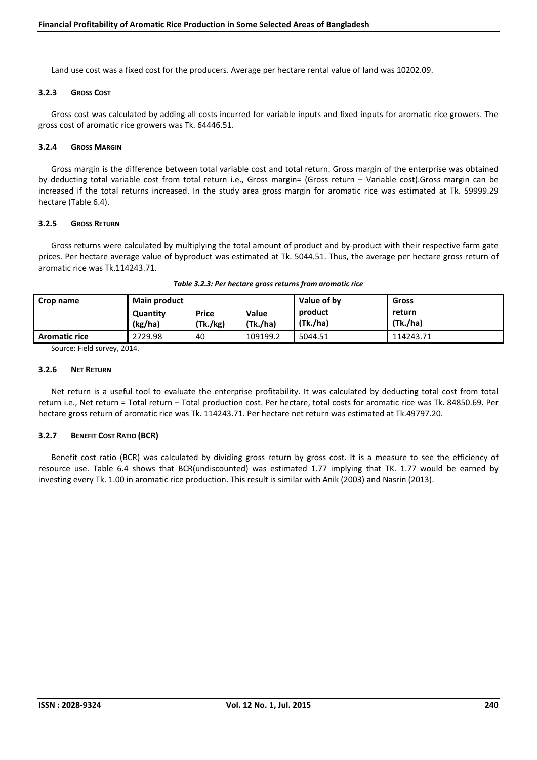Land use cost was a fixed cost for the producers. Average per hectare rental value of land was 10202.09.

#### 3.2.3 GROSS COST

Gross cost was calculated by adding all costs incurred for variable inputs and fixed inputs for aromatic rice growers. The gross cost of aromatic rice growers was Tk. 64446.51.

## 3.2.4 GROSS MARGIN

Gross margin is the difference between total variable cost and total return. Gross margin of the enterprise was obtained by deducting total variable cost from total return i.e., Gross margin= (Gross return – Variable cost).Gross margin can be increased if the total returns increased. In the study area gross margin for aromatic rice was estimated at Tk. 59999.29 hectare (Table 6.4).

#### 3.2.5 GROSS RETURN

Gross returns were calculated by multiplying the total amount of product and by-product with their respective farm gate prices. Per hectare average value of byproduct was estimated at Tk. 5044.51. Thus, the average per hectare gross return of aromatic rice was Tk.114243.71.

| Crop name            | <b>Main product</b> |                          | Value of by       | <b>Gross</b>        |                    |
|----------------------|---------------------|--------------------------|-------------------|---------------------|--------------------|
|                      | Quantity<br>(kg/ha) | <b>Price</b><br>(Tk./kg) | Value<br>(Tk./ha) | product<br>(Tk./ha) | return<br>(Tk./ha) |
| <b>Aromatic rice</b> | 2729.98             | 40                       | 109199.2          | 5044.51             | 114243.71          |

Source: Field survey, 2014.

## 3.2.6 NET RETURN

Net return is a useful tool to evaluate the enterprise profitability. It was calculated by deducting total cost from total return i.e., Net return = Total return – Total production cost. Per hectare, total costs for aromatic rice was Tk. 84850.69. Per hectare gross return of aromatic rice was Tk. 114243.71. Per hectare net return was estimated at Tk.49797.20.

#### 3.2.7 BENEFIT COST RATIO (BCR)

Benefit cost ratio (BCR) was calculated by dividing gross return by gross cost. It is a measure to see the efficiency of resource use. Table 6.4 shows that BCR(undiscounted) was estimated 1.77 implying that TK. 1.77 would be earned by investing every Tk. 1.00 in aromatic rice production. This result is similar with Anik (2003) and Nasrin (2013).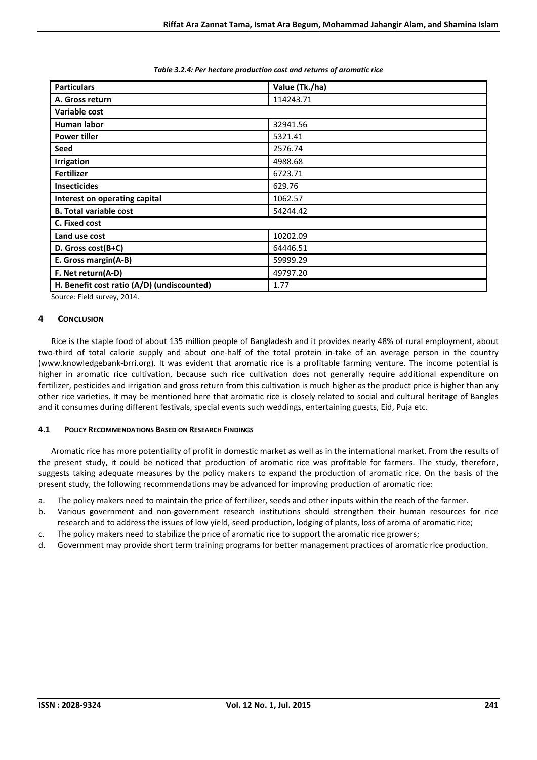| <b>Particulars</b>                         | Value (Tk./ha) |  |  |  |
|--------------------------------------------|----------------|--|--|--|
| A. Gross return                            | 114243.71      |  |  |  |
| Variable cost                              |                |  |  |  |
| Human labor                                | 32941.56       |  |  |  |
| <b>Power tiller</b>                        | 5321.41        |  |  |  |
| Seed                                       | 2576.74        |  |  |  |
| <b>Irrigation</b>                          | 4988.68        |  |  |  |
| <b>Fertilizer</b>                          | 6723.71        |  |  |  |
| <b>Insecticides</b>                        | 629.76         |  |  |  |
| Interest on operating capital              | 1062.57        |  |  |  |
| <b>B. Total variable cost</b>              | 54244.42       |  |  |  |
| C. Fixed cost                              |                |  |  |  |
| Land use cost                              | 10202.09       |  |  |  |
| D. Gross cost(B+C)                         | 64446.51       |  |  |  |
| E. Gross margin(A-B)                       | 59999.29       |  |  |  |
| F. Net return(A-D)                         | 49797.20       |  |  |  |
| H. Benefit cost ratio (A/D) (undiscounted) | 1.77           |  |  |  |

#### *Table 3.2.4: Per hectare production cost and returns of aromatic rice*

Source: Field survey, 2014.

# 4 CONCLUSION

Rice is the staple food of about 135 million people of Bangladesh and it provides nearly 48% of rural employment, about two-third of total calorie supply and about one-half of the total protein in-take of an average person in the country (www.knowledgebank-brri.org). It was evident that aromatic rice is a profitable farming venture. The income potential is higher in aromatic rice cultivation, because such rice cultivation does not generally require additional expenditure on fertilizer, pesticides and irrigation and gross return from this cultivation is much higher as the product price is higher than any other rice varieties. It may be mentioned here that aromatic rice is closely related to social and cultural heritage of Bangles and it consumes during different festivals, special events such weddings, entertaining guests, Eid, Puja etc.

#### 4.1 POLICY RECOMMENDATIONS BASED ON RESEARCH FINDINGS

Aromatic rice has more potentiality of profit in domestic market as well as in the international market. From the results of the present study, it could be noticed that production of aromatic rice was profitable for farmers. The study, therefore, suggests taking adequate measures by the policy makers to expand the production of aromatic rice. On the basis of the present study, the following recommendations may be advanced for improving production of aromatic rice:

- a. The policy makers need to maintain the price of fertilizer, seeds and other inputs within the reach of the farmer.
- b. Various government and non-government research institutions should strengthen their human resources for rice research and to address the issues of low yield, seed production, lodging of plants, loss of aroma of aromatic rice;
- c. The policy makers need to stabilize the price of aromatic rice to support the aromatic rice growers;
- d. Government may provide short term training programs for better management practices of aromatic rice production.